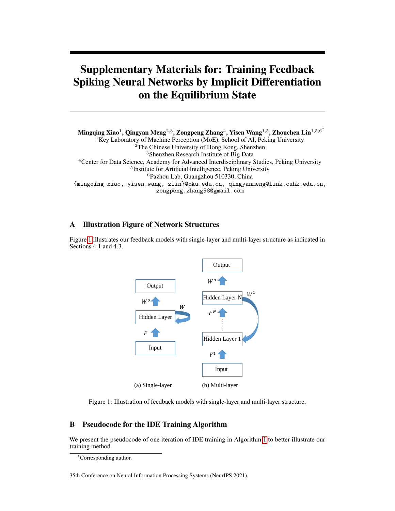# Supplementary Materials for: Training Feedback Spiking Neural Networks by Implicit Differentiation on the Equilibrium State

Mingqing Xiao $^1$ , Qingyan Meng $^{2,3}$ , Zongpeng Zhang $^4$ , Yisen Wang $^{1,5}$ , Zhouchen Lin $^{1,5,6^{\ast}}$ <sup>1</sup>Key Laboratory of Machine Perception (MoE), School of AI, Peking University <sup>2</sup>The Chinese University of Hong Kong, Shenzhen <sup>3</sup>Shenzhen Research Institute of Big Data <sup>4</sup>Center for Data Science, Academy for Advanced Interdisciplinary Studies, Peking University 5 Institute for Artificial Intelligence, Peking University <sup>6</sup>Pazhou Lab, Guangzhou 510330, China {mingqing\_xiao, yisen.wang, zlin}@pku.edu.cn, qingyanmeng@link.cuhk.edu.cn, zongpeng.zhang98@gmail.com

# A Illustration Figure of Network Structures

Figure [1](#page-0-0) illustrates our feedback models with single-layer and multi-layer structure as indicated in Sections 4.1 and 4.3.



<span id="page-0-0"></span>Figure 1: Illustration of feedback models with single-layer and multi-layer structure.

# B Pseudocode for the IDE Training Algorithm

We present the pseudocode of one iteration of IDE training in Algorithm [1](#page-1-0) to better illustrate our training method.

<sup>∗</sup>Corresponding author.

<sup>35</sup>th Conference on Neural Information Processing Systems (NeurIPS 2021).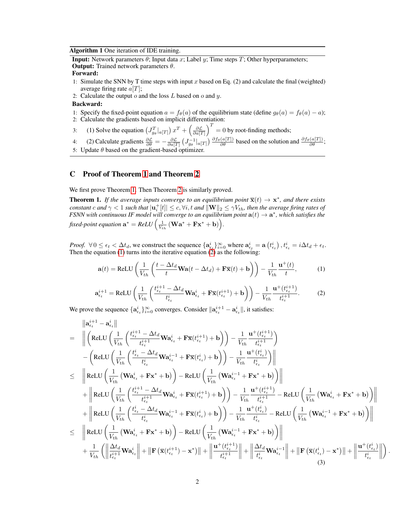Algorithm 1 One iteration of IDE training.

<span id="page-1-0"></span>**Input:** Network parameters  $\theta$ ; Input data x; Label y; Time steps T; Other hyperparameters; **Output:** Trained network parameters  $\theta$ .

#### Forward:

- 1: Simulate the SNN by T time steps with input x based on Eq. (2) and calculate the final (weighted) average firing rate  $a[T]$ ;
- 2: Calculate the output  $o$  and the loss  $L$  based on  $o$  and  $y$ .

#### Backward:

- 1: Specify the fixed-point equation  $a = f_{\theta}(a)$  of the equilibrium state (define  $g_{\theta}(a) = f_{\theta}(a) a$ );
- 2: Calculate the gradients based on implicit differentiation:
- 3: (1) Solve the equation  $(J_{g_{\theta}}^T|_{a[T]}) x^T + (\frac{\partial \mathcal{L}}{\partial a[T]})^T = 0$  by root-finding methods;

4: (2) Calculate gradients  $\frac{\partial \mathcal{L}}{\partial \theta} = -\frac{\partial \mathcal{L}}{\partial a[T]} \left( J_{g_{\theta}}^{-1} |_{a[T]} \right) \frac{\partial f_{\theta}(a[T])}{\partial \theta}$  based on the solution and  $\frac{\partial f_{\theta}(a[T])}{\partial \theta}$ ; 5: Update  $\theta$  based on the gradient-based optimizer.

# C Proof of Theorem [1](#page-1-1) and Theorem [2](#page-2-0)

We first prove Theorem [1.](#page-1-1) Then Theorem [2](#page-2-0) is similarly proved.

<span id="page-1-1"></span>**Theorem 1.** If the average inputs converge to an equilibrium point  $\overline{\mathbf{x}}(t) \to \mathbf{x}^*$ , and there exists *constant* c and  $\gamma < 1$  *such that*  $|{\bf u}_i^+[t]| \le c, \forall i, t$  and  $\|{\bf W}\|_2 \le \gamma V_{th}$ *, then the average firing rates of FSNN with continuous IF model will converge to an equilibrium point*  $\mathbf{a}(t) \to \mathbf{a}^*$ , which satisfies the fixed-point equation  $\mathbf{a}^* = ReLU \Big(\frac{1}{V_{th}} \left( \mathbf{W} \mathbf{a}^* + \mathbf{F} \mathbf{x}^* + \mathbf{b} \right) \Big).$ 

*Proof.*  $\forall 0 \le \epsilon_t < \Delta t_d$ , we construct the sequence  $\{a_{\epsilon_t}^i\}_{i=0}^{\infty}$  where  $a_{\epsilon_t}^i = a(t_{\epsilon_t}^i)$ ,  $t_{\epsilon_t}^i = i\Delta t_d + \epsilon_t$ . Then the equation  $(1)$  turns into the iterative equation  $(2)$  as the following:

<span id="page-1-2"></span>
$$
\mathbf{a}(t) = \text{ReLU}\left(\frac{1}{V_{th}}\left(\frac{t - \Delta t_d}{t}\mathbf{Wa}(t - \Delta t_d) + \mathbf{F}\overline{\mathbf{x}}(t) + \mathbf{b}\right)\right) - \frac{1}{V_{th}}\frac{\mathbf{u}^+(t)}{t},\tag{1}
$$

<span id="page-1-3"></span>
$$
\mathbf{a}_{\epsilon_t}^{i+1} = \text{ReLU}\left(\frac{1}{V_{th}}\left(\frac{t_{\epsilon_t}^{i+1} - \Delta t_d}{t_{\epsilon_t}^i}\mathbf{W}\mathbf{a}_{\epsilon_t}^i + \mathbf{F}\overline{\mathbf{x}}(t_{\epsilon_t}^{i+1}) + \mathbf{b}\right)\right) - \frac{1}{V_{th}}\frac{\mathbf{u}^+(t_{\epsilon_t}^{i+1})}{t_{\epsilon_t}^{i+1}}.\tag{2}
$$

We prove the sequence  $\{a_{\epsilon_t}^i\}_{i=0}^{\infty}$  converges. Consider  $\|\mathbf{a}_{\epsilon_t}^{i+1} - \mathbf{a}_{\epsilon_t}^i\|$ , it satisfies:

$$
\begin{array}{lll} \displaystyle \begin{aligned} &\left\|\mathbf{a}_{\epsilon_{t}}^{i+1}-\mathbf{a}_{\epsilon_{t}}^{i}\right\| \\&=&\displaystyle \left\|\left(\text{ReLU}\left(\frac{1}{V_{th}}\left(\frac{t_{\epsilon_{t}}^{i+1}-\Delta t_{d}}{t_{\epsilon_{t}}^{i+1}}\mathbf{W}\mathbf{a}_{\epsilon_{t}}^{i}+\mathbf{F}\overline{\mathbf{x}}(t_{\epsilon_{t}}^{i+1})+\mathbf{b}\right)\right)-\frac{1}{V_{th}}\frac{\mathbf{u}^{+}(t_{\epsilon_{t}}^{i+1})}{t_{\epsilon_{t}}^{i+1}}\right) \right) \\&=&\displaystyle \left\|\text{ReLU}\left(\frac{1}{V_{th}}\left(\frac{t_{\epsilon_{t}}^{i}-\Delta t_{d}}{t_{\epsilon_{t}}^{i}}\mathbf{W}\mathbf{a}_{\epsilon_{t}}^{i-1}+\mathbf{F}\overline{\mathbf{x}}(t_{\epsilon_{t}}^{i})+\mathbf{b}\right)\right)-\frac{1}{V_{th}}\frac{\mathbf{u}^{+}(t_{\epsilon_{t}}^{i})}{t_{\epsilon_{t}}^{i}}\right)\right\| \\&+ \left\|\text{ReLU}\left(\frac{1}{V_{th}}\left(\mathbf{W}\mathbf{a}_{\epsilon_{t}}^{i}+\mathbf{F}\mathbf{x}^{*}+\mathbf{b}\right)\right)-\text{ReLU}\left(\frac{1}{V_{th}}\left(\mathbf{W}\mathbf{a}_{\epsilon_{t}}^{i-1}+\mathbf{F}\mathbf{x}^{*}+\mathbf{b}\right)\right)\right\| \\&+ \left\|\text{ReLU}\left(\frac{1}{V_{th}}\left(\frac{t_{\epsilon_{t}}^{i+1}-\Delta t_{d}}{t_{\epsilon_{t}}^{i+1}}\mathbf{W}\mathbf{a}_{\epsilon_{t}}^{i}+\mathbf{F}\overline{\mathbf{x}}(t_{\epsilon_{t}}^{i+1})+\mathbf{b}\right)\right)-\frac{1}{V_{th}}\frac{\mathbf{u}^{+}(t_{\epsilon_{t}}^{i+1})}{t_{\epsilon_{t}}^{i+1}}-\text{ReLU}\left(\frac{1}{V_{th}}\left(\mathbf{W}\mathbf{a}_{\epsilon_{t}}^{i}+\mathbf{F}\mathbf{x}^{*}+\mathbf{b}\right)\right)\right\| \\&+ \left\|\text{ReLU}\left(\frac{1}{V_{th}}\left(\frac{t_{\epsilon_{t}}
$$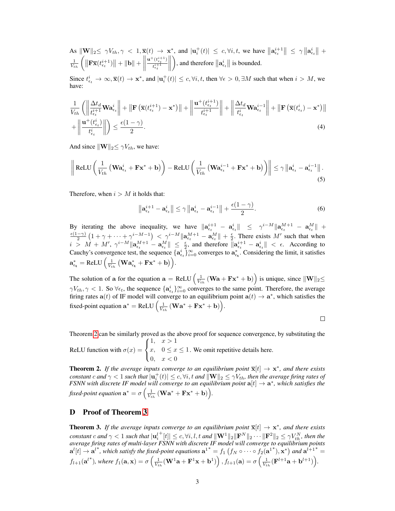As 
$$
\|\mathbf{W}\|_2 \leq \gamma V_{th}, \gamma < 1, \overline{\mathbf{x}}(t) \to \mathbf{x}^*
$$
, and  $|\mathbf{u}_i^+(t)| \leq c, \forall i, t$ , we have  $\|\mathbf{a}_{\epsilon_t}^{i+1}\| \leq \gamma \|\mathbf{a}_{\epsilon_t}^i\| + \frac{1}{V_{th}} \left( \|\mathbf{F} \overline{\mathbf{x}}(t_{\epsilon_t}^{i+1})\| + \|\mathbf{b}\| + \left\|\frac{\mathbf{u}^+(\mathbf{t}_{\epsilon_t}^{i+1})}{t_{\epsilon_t}^{i+1}}\right\| \right)$ , and therefore  $\|\mathbf{a}_{\epsilon_t}^i\|$  is bounded.

Since  $t_{\epsilon_t}^i \to \infty, \overline{\mathbf{x}}(t) \to \mathbf{x}^*$ , and  $|\mathbf{u}_i^+(t)| \leq c, \forall i, t$ , then  $\forall \epsilon > 0, \exists M$  such that when  $i > M$ , we have:

$$
\frac{1}{V_{th}}\left(\left\|\frac{\Delta t_d}{t_{\epsilon_t}^{i+1}}\mathbf{W}\mathbf{a}_{\epsilon_t}^i\right\| + \left\|\mathbf{F}\left(\overline{\mathbf{x}}(t_{\epsilon_t}^{i+1}) - \mathbf{x}^*\right)\right\| + \left\|\frac{\mathbf{u}^+(t_{\epsilon_t}^{i+1})}{t_{\epsilon_t}^{i+1}}\right\| + \left\|\frac{\Delta t_d}{t_{\epsilon_t}^i}\mathbf{W}\mathbf{a}_{\epsilon_t}^{i-1}\right\| + \left\|\mathbf{F}\left(\overline{\mathbf{x}}(t_{\epsilon_t}^i) - \mathbf{x}^*\right)\right\| + \left\|\frac{\mathbf{u}^+(t_{\epsilon_t}^i)}{t_{\epsilon_t}^i}\right\| \right) \le \frac{\epsilon(1-\gamma)}{2}.\tag{4}
$$

And since  $\|\mathbf{W}\|_{2} \leq \gamma V_{th}$ , we have:

$$
\left\| \text{ReLU}\left(\frac{1}{V_{th}}\left(\mathbf{W}\mathbf{a}_{\epsilon_{t}}^{i} + \mathbf{F}\mathbf{x}^{*} + \mathbf{b}\right)\right) - \text{ReLU}\left(\frac{1}{V_{th}}\left(\mathbf{W}\mathbf{a}_{\epsilon_{t}}^{i-1} + \mathbf{F}\mathbf{x}^{*} + \mathbf{b}\right)\right) \right\| \leq \gamma \left\| \mathbf{a}_{\epsilon_{t}}^{i} - \mathbf{a}_{\epsilon_{t}}^{i-1} \right\|.
$$
\n(5)

Therefore, when  $i > M$  it holds that:

$$
\left\|\mathbf{a}_{\epsilon_t}^{i+1} - \mathbf{a}_{\epsilon_t}^i\right\| \leq \gamma \left\|\mathbf{a}_{\epsilon_t}^i - \mathbf{a}_{\epsilon_t}^{i-1}\right\| + \frac{\epsilon(1-\gamma)}{2}.\tag{6}
$$

By iterating the above inequality, we have  $\|\mathbf{a}_{\epsilon_t}^{i+1} - \mathbf{a}_{\epsilon_t}^{i}\| \leq \gamma^{i-M} \|\mathbf{a}_{\epsilon_t}^{M+1} - \mathbf{a}_{\epsilon_t}^{M}\| +$  $\epsilon(1-\gamma)$  $\frac{(-\gamma)}{2} \left(1 + \gamma + \cdots + \gamma^{i-M-1}\right) < \gamma^{i-M} \|\mathbf{a}_{\epsilon_t}^{M+1} - \mathbf{a}_{\epsilon_t}^M\| + \frac{\epsilon}{2}$ . There exists M' such that when  $i > M + M', \gamma^{i-M} \|\mathbf{a}_{\epsilon_t}^{M+1} - \mathbf{a}_{\epsilon_t}^M\| \leq \frac{\epsilon}{2}$ , and therefore  $\|\mathbf{a}_{\epsilon_t}^{i+1} - \mathbf{a}_{\epsilon_t}^i\| < \epsilon$ . According to Cauchy's convergence test, the sequence  $\{a_{\epsilon_t}^i\}_{i=0}^{\infty}$  converges to  $a_{\epsilon_t}^*$ . Considering the limit, it satisfies  $\mathbf{a}_{\epsilon_{\mathbf{t}}}^{*} = \text{ReLU}\Big(\frac{1}{V_{th}}\left(\mathbf{W}\mathbf{a}_{\epsilon_{\mathbf{t}}}^{*} + \mathbf{F}\mathbf{x}^{*} + \mathbf{b}\right)\Big).$ 

The solution of a for the equation  $\mathbf{a} = \text{ReLU}\left(\frac{1}{V_{th}}\left(\mathbf{W}\mathbf{a} + \mathbf{F}\mathbf{x}^* + \mathbf{b}\right)\right)$  is unique, since  $\|\mathbf{W}\|_2 \leq$  $\gamma V_{th}, \gamma < 1$ . So  $\forall \epsilon_t$ , the sequence  $\{a_{\epsilon_t}^i\}_{i=0}^{\infty}$  converges to the same point. Therefore, the average firing rates  $a(t)$  of IF model will converge to an equilibrium point  $a(t) \rightarrow a^*$ , which satisfies the fixed-point equation  $\mathbf{a}^* = \text{ReLU}\left(\frac{1}{V_{th}}\left(\mathbf{W}\mathbf{a}^* + \mathbf{F}\mathbf{x}^* + \mathbf{b}\right)\right)$ .

 $\Box$ 

Theorem [2](#page-2-0) can be similarly proved as the above proof for sequence convergence, by substituting the ReLU function with  $\sigma(x) =$  $\sqrt{ }$ J  $\mathcal{L}$  $1, \quad x > 1$  $x, \quad 0 \leq x \leq 1$  $0, \quad x < 0$ . We omit repetitive details here.

<span id="page-2-0"></span>**Theorem 2.** If the average inputs converge to an equilibrium point  $\overline{\mathbf{x}}[t] \to \mathbf{x}^*$ , and there exists  $constant\ c$  and  $\gamma < 1$  such that  $|\mathbf{u}_i^+(t)| \leq c, \forall i, t$  and  $\|\mathbf{W}\|_2 \leq \gamma V_{th}$ , then the average firing rates of *FSNN with discrete IF model will converge to an equilibrium point*  $a[t] \rightarrow a^*$ , which satisfies the fixed-point equation  $\mathbf{a}^* = \sigma \left( \frac{1}{V_{th}} \left( \mathbf{W} \mathbf{a}^* + \mathbf{F} \mathbf{x}^* + \mathbf{b} \right) \right)$ .

## D Proof of Theorem [3](#page-2-1)

<span id="page-2-1"></span>**Theorem 3.** If the average inputs converge to an equilibrium point  $\overline{\mathbf{x}}[t] \to \mathbf{x}^*$ , and there exists  $\emph{constant}$   $c$  and  $\gamma < 1$  such that  $|\mathbf{u}^l_i\>$  $\|f^+[t]\| \leq c, \forall i, l, t \text{ and } \|\mathbf{W}^1\|_2 \|\mathbf{F}^N\|_2 \cdots \|\mathbf{F}^2\|_2 \leq \gamma V_{th}^N$ , then the *average firing rates of multi-layer FSNN with discrete IF model will converge to equilibrium points*  $\mathbf{a}^l[t] \to \mathbf{a}^{l^*}$ , which satisfy the fixed-point equations  $\mathbf{a}^{1^*} = f_1(f_N \circ \cdots \circ f_2(\mathbf{a}^{1^*}), \mathbf{x}^*)$  and  $\mathbf{a}^{l+1^*} =$  $f_{l+1}(\mathbf{a}^{l*})$ , where  $f_1(\mathbf{a}, \mathbf{x}) = \sigma\left(\frac{1}{V_{th}}(\mathbf{W}^1\mathbf{a} + \mathbf{F}^1\mathbf{x} + \mathbf{b}^1)\right)$ ,  $f_{l+1}(\mathbf{a}) = \sigma\left(\frac{1}{V_{th}}(\mathbf{F}^{l+1}\mathbf{a} + \mathbf{b}^{l+1})\right)$ .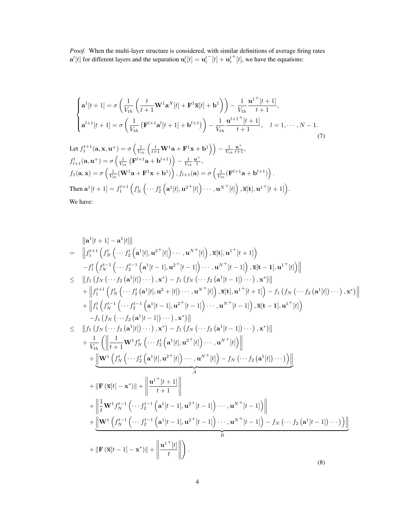*Proof.* When the multi-layer structure is considered, with similar definitions of average firing rates  $\mathbf{a}^{l}[t]$  for different layers and the separation  $\mathbf{u}_{i}^{l}[t] = \mathbf{u}_{i}^{l}$  $^{-}[t] + \mathbf{u}_i^l$  $^{+}[t]$ , we have the equations:

$$
\begin{cases}\n\mathbf{a}^{1}[t+1] = \sigma\left(\frac{1}{V_{th}}\left(\frac{t}{t+1}\mathbf{W}^{1}\mathbf{a}^{N}[t] + \mathbf{F}^{1}\overline{\mathbf{x}}[t] + \mathbf{b}^{1}\right)\right) - \frac{1}{V_{th}}\frac{\mathbf{u}^{1+}[t+1]}{t+1}, \\
\mathbf{a}^{l+1}[t+1] = \sigma\left(\frac{1}{V_{th}}\left(\mathbf{F}^{l+1}\mathbf{a}^{l}[t+1] + \mathbf{b}^{l+1}\right)\right) - \frac{1}{V_{th}}\frac{\mathbf{u}^{l+1+}[t+1]}{t+1}, \quad l = 1, \cdots, N-1.\n\end{cases}
$$
\n(7)

Let 
$$
f_1^{t+1}(\mathbf{a}, \mathbf{x}, \mathbf{u}^+) = \sigma \left( \frac{1}{V_{th}} \left( \frac{t}{t+1} \mathbf{W}^1 \mathbf{a} + \mathbf{F}^1 \mathbf{x} + \mathbf{b}^1 \right) \right) - \frac{1}{V_{th}} \frac{\mathbf{u}^+}{t+1},
$$
  
\n $f_{l+1}^t(\mathbf{a}, \mathbf{u}^+) = \sigma \left( \frac{1}{V_{th}} \left( \mathbf{F}^{l+1} \mathbf{a} + \mathbf{b}^{l+1} \right) \right) - \frac{1}{V_{th}} \frac{\mathbf{u}^+}{t},$   
\n $f_1(\mathbf{a}, \mathbf{x}) = \sigma \left( \frac{1}{V_{th}} (\mathbf{W}^1 \mathbf{a} + \mathbf{F}^1 \mathbf{x} + \mathbf{b}^1) \right), f_{l+1}(\mathbf{a}) = \sigma \left( \frac{1}{V_{th}} (\mathbf{F}^{l+1} \mathbf{a} + \mathbf{b}^{l+1}) \right).$   
\nThen  $\mathbf{a}^1[t+1] = f_1^{t+1} \left( f_N^t \left( \cdots f_2^t \left( \mathbf{a}^1[t], \mathbf{u}^{2+}[t] \right) \cdots, \mathbf{u}^{N+}[t] \right), \overline{\mathbf{x}}[t], \mathbf{u}^{1+}[t+1] \right).$   
\nWe have:

$$
\|a^{1}[t+1] - a^{1}[t]\|
$$
\n
$$
= \|f_{1}^{t+1} (f_{N}^{t} ( \cdots f_{2}^{t} (a^{1}[t], u^{2+}[t]) \cdots, u^{N+}[t]) , \overline{x}[t], u^{1+}[t+1])
$$
\n
$$
-f_{1}^{t} (f_{N}^{t-1} ( \cdots f_{2}^{t-1} (a^{1}[t-1], u^{2+}[t-1]) \cdots, u^{N+}[t-1]) , \overline{x}[t-1], u^{1+}[t])\|
$$
\n
$$
\leq \|f_{1} (f_{N} ( \cdots f_{2} (a^{1}[t]) \cdots), x^{*}) - f_{1} (f_{N} ( \cdots f_{2} (a^{1}[t-1]) \cdots), x^{*})\|
$$
\n
$$
+ \|f_{1}^{t+1} (f_{N}^{t} ( \cdots f_{2}^{t} (a^{1}[t], u^{2}+[t]) \cdots, u^{N+}[t]) , \overline{x}[t], u^{1+}[t+1]) - f_{1} (f_{N} ( \cdots f_{2} (a^{1}[t]) \cdots), x^{*})\|
$$
\n
$$
+ \|f_{1}^{t} (f_{N}^{t-1} ( \cdots f_{2}^{t-1} (a^{1}[t-1], u^{2+}[t-1]) \cdots, u^{N+}[t-1]) , \overline{x}[t-1], u^{1+}[t])
$$
\n
$$
-f_{1} (f_{N} ( \cdots f_{2} (a^{1}[t-1]) \cdots), x^{*})\|
$$
\n
$$
\leq \|f_{1} (f_{N} ( \cdots f_{2} (a^{1}[t]) \cdots), x^{*}) - f_{1} (f_{N} ( \cdots f_{2} (a^{1}[t-1]) \cdots), x^{*})\|
$$
\n
$$
+ \frac{1}{V_{th}} (\left\|\frac{1}{t+1} \mathbf{W}^{1} f_{N}^{t} ( \cdots f_{2}^{t} (a^{1}[t], u^{2+}[t]) \cdots, u^{N+}[t]) - f_{N} ( \cdots f_{2} (a^{1}[t]) \cdots) \right)\|
$$
\n
$$
+ \|\mathbf{F} (\overline{x}[t] - x^{*})\| + \left\|\frac
$$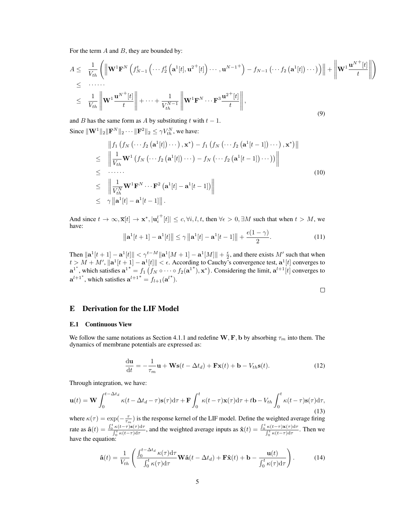For the term  $A$  and  $B$ , they are bounded by:

$$
A \leq \frac{1}{V_{th}} \left( \left\| \mathbf{W}^{1} \mathbf{F}^{N} \left( f_{N-1}^{t} \left( \cdots f_{2}^{t} \left( \mathbf{a}^{1}[t], \mathbf{u}^{2+}[t] \right) \cdots, \mathbf{u}^{N-1} \right) - f_{N-1} \left( \cdots f_{2} \left( \mathbf{a}^{1}[t] \right) \cdots \right) \right) \right\| + \left\| \mathbf{W}^{1} \frac{\mathbf{u}^{N+}[t]}{t} \right\|
$$
  
\n
$$
\leq \frac{1}{V_{th}} \left\| \mathbf{W}^{1} \frac{\mathbf{u}^{N+}[t]}{t} \right\| + \cdots + \frac{1}{V_{th}^{N-1}} \left\| \mathbf{W}^{1} \mathbf{F}^{N} \cdots \mathbf{F}^{3} \frac{\mathbf{u}^{2+}[t]}{t} \right\|,
$$
\n(9)

and B has the same form as A by substituting t with  $t - 1$ .

Since  $\|\mathbf{W}^1\|_2 \|\mathbf{F}^N\|_2 \cdots \|\mathbf{F}^2\|_2 \le \gamma V_{th}^N$ , we have:

$$
\|f_1\left(f_N\left(\cdots f_2\left(\mathbf{a}^1[t]\right)\cdots\right),\mathbf{x}^*\right)-f_1\left(f_N\left(\cdots f_2\left(\mathbf{a}^1[t-1]\right)\cdots\right),\mathbf{x}^*\right)\|
$$
\n
$$
\leq \quad \left\|\frac{1}{V_{th}}\mathbf{W}^1\left(f_N\left(\cdots f_2\left(\mathbf{a}^1[t]\right)\cdots\right)-f_N\left(\cdots f_2\left(\mathbf{a}^1[t-1]\right)\cdots\right)\right)\right\|
$$
\n
$$
\leq \quad \cdots \cdots
$$
\n
$$
\leq \quad \left\|\frac{1}{V_{th}^N}\mathbf{W}^1\mathbf{F}^N\cdots\mathbf{F}^2\left(\mathbf{a}^1[t]-\mathbf{a}^1[t-1]\right)\right\|
$$
\n
$$
\leq \quad \gamma\left\|\mathbf{a}^1[t]-\mathbf{a}^1[t-1]\right\|.
$$
\n(10)

And since  $t \to \infty, \overline{\mathbf{x}}[t] \to \mathbf{x}^*, |\mathbf{u}_i^l|$  $\vert t \vert_t \vert \leq c, \forall i, l, t$ , then  $\forall \epsilon > 0, \exists M$  such that when  $t > M$ , we have:

$$
\left\|\mathbf{a}^{1}[t+1]-\mathbf{a}^{1}[t]\right\| \leq \gamma\left\|\mathbf{a}^{1}[t]-\mathbf{a}^{1}[t-1]\right\|+\frac{\epsilon(1-\gamma)}{2}.\tag{11}
$$

Then  $\|\mathbf{a}^1[t+1] - \mathbf{a}^1[t]\| < \gamma^{t-M} \|\mathbf{a}^1[M+1] - \mathbf{a}^1[M]\| + \frac{\epsilon}{2}$ , and there exists M' such that when  $t > M + M', \|\mathbf{a}^1[t+1] - \mathbf{a}^1[t]\| < \epsilon$ . According to Cauchy's convergence test,  $\mathbf{a}^1[t]$  converges to  $\mathbf{a}^{1^*}$ , which satisfies  $\mathbf{a}^{1^*} = f_1(f_N \circ \cdots \circ f_2(\mathbf{a}^{1^*}), \mathbf{x}^*)$ . Considering the limit,  $\mathbf{a}^{l+1}[t]$  converges to  $a^{l+1}$ <sup>\*</sup>, which satisfies  $a^{l+1}$ <sup>\*</sup> =  $f_{l+1}(a^{l}$ <sup>\*</sup>).

$$
\square
$$

 $\parallel$ II II II  $\mid \mid$ 

 $\setminus$ 

## E Derivation for the LIF Model

#### E.1 Continuous View

We follow the same notations as Section 4.1.1 and redefine W, F, b by absorbing  $\tau_m$  into them. The dynamics of membrane potentials are expressed as:

$$
\frac{\mathrm{d}\mathbf{u}}{\mathrm{d}t} = -\frac{1}{\tau_m}\mathbf{u} + \mathbf{W}\mathbf{s}(t - \Delta t_d) + \mathbf{F}\mathbf{x}(t) + \mathbf{b} - V_{th}\mathbf{s}(t). \tag{12}
$$

Through integration, we have:

$$
\mathbf{u}(t) = \mathbf{W} \int_0^{t - \Delta t_d} \kappa(t - \Delta t_d - \tau) \mathbf{s}(\tau) d\tau + \mathbf{F} \int_0^t \kappa(t - \tau) \mathbf{x}(\tau) d\tau + t \mathbf{b} - V_{th} \int_0^t \kappa(t - \tau) \mathbf{s}(\tau) d\tau,
$$
\n(13)

where  $\kappa(\tau) = \exp(-\frac{\tau}{\tau_m})$  is the response kernel of the LIF model. Define the weighted average firing rate as  $\hat{\mathbf{a}}(t) = \frac{\int_0^t \kappa(t-\tau) \mathbf{s}(\tau) d\tau}{\int_0^t \kappa(t-\tau) d\tau}$  $\frac{\int_{0}^{t} \kappa(t-\tau) \mathsf{d}\tau}{\int_{0}^{t} \kappa(t-\tau) \mathsf{d}\tau}$ , and the weighted average inputs as  $\hat{\mathbf{x}}(t) = \frac{\int_{0}^{t} \kappa(t-\tau) \mathbf{x}(\tau) \mathsf{d}\tau}{\int_{0}^{t} \kappa(t-\tau) \mathsf{d}\tau}$  $\frac{\kappa(t-\tau)\mathbf{x}(\tau)\mathbf{d}\tau}{\int_0^t \kappa(t-\tau)\mathbf{d}\tau}$ . Then we have the equation:

$$
\hat{\mathbf{a}}(t) = \frac{1}{V_{th}} \left( \frac{\int_0^{t - \Delta t_d} \kappa(\tau) d\tau}{\int_0^t \kappa(\tau) d\tau} \mathbf{W} \hat{\mathbf{a}}(t - \Delta t_d) + \mathbf{F} \hat{\mathbf{x}}(t) + \mathbf{b} - \frac{\mathbf{u}(t)}{\int_0^t \kappa(\tau) d\tau} \right).
$$
(14)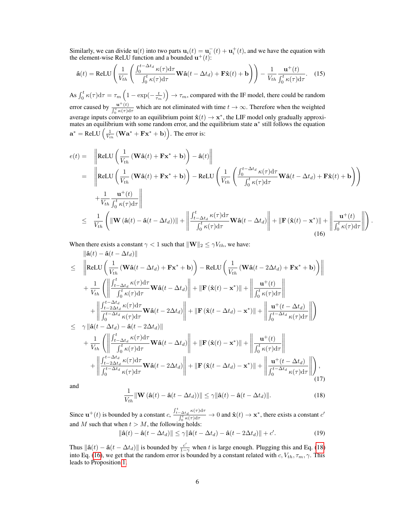Similarly, we can divide  $\mathbf{u}(t)$  into two parts  $\mathbf{u}_i(t) = \mathbf{u}_i^-(t) + \mathbf{u}_i^+(t)$ , and we have the equation with the element-wise ReLU function and a bounded  $\mathbf{u}^+(t)$ :

$$
\hat{\mathbf{a}}(t) = \text{ReLU}\left(\frac{1}{V_{th}}\left(\frac{\int_0^{t-\Delta t_d} \kappa(\tau) d\tau}{\int_0^t \kappa(\tau) d\tau} \mathbf{W}\hat{\mathbf{a}}(t-\Delta t_d) + \mathbf{F}\hat{\mathbf{x}}(t) + \mathbf{b}\right)\right) - \frac{1}{V_{th}}\frac{\mathbf{u}^+(t)}{\int_0^t \kappa(\tau) d\tau}.
$$
 (15)

As  $\int_0^t \kappa(\tau) d\tau = \tau_m \left(1 - \exp(-\frac{t}{\tau_m})\right) \to \tau_m$ , compared with the IF model, there could be random error caused by  $\frac{\mathbf{u}^+(t)}{\int_t^t \mathbf{u}(\tau) d\tau}$  $\frac{\mathbf{u}^{(t)}(t)}{\int_0^t \kappa(\tau) d\tau}$  which are not eliminated with time  $t \to \infty$ . Therefore when the weighted average inputs converge to an equilibrium point  $\hat{\mathbf{x}}(t) \to \mathbf{x}^*$ , the LIF model only gradually approximates an equilibrium with some random error, and the equilibrium state a<sup>\*</sup> still follows the equation  $\mathbf{a}^* = \text{ReLU}\left(\frac{1}{V_{th}}\left(\mathbf{W}\mathbf{a}^* + \mathbf{F}\mathbf{x}^* + \mathbf{b}\right)\right)$ . The error is:

<span id="page-5-1"></span>
$$
e(t) = \left\| \text{ReLU}\left(\frac{1}{V_{th}}\left(\mathbf{W}\hat{\mathbf{a}}(t) + \mathbf{F}\mathbf{x}^* + \mathbf{b}\right)\right) - \hat{\mathbf{a}}(t) \right\|
$$
  
\n
$$
= \left\| \text{ReLU}\left(\frac{1}{V_{th}}\left(\mathbf{W}\hat{\mathbf{a}}(t) + \mathbf{F}\mathbf{x}^* + \mathbf{b}\right)\right) - \text{ReLU}\left(\frac{1}{V_{th}}\left(\frac{\int_0^{t - \Delta t_d} \kappa(\tau) d\tau}{\int_0^t \kappa(\tau) d\tau} \mathbf{W}\hat{\mathbf{a}}(t - \Delta t_d) + \mathbf{F}\hat{\mathbf{x}}(t) + \mathbf{b}\right)\right) \right\|
$$
  
\n
$$
+ \frac{1}{V_{th}} \frac{\mathbf{u}^+(t)}{\int_0^t \kappa(\tau) d\tau} \right\|
$$
  
\n
$$
\leq \frac{1}{V_{th}} \left( \left\| \mathbf{W}\left(\hat{\mathbf{a}}(t) - \hat{\mathbf{a}}(t - \Delta t_d)\right) \right\| + \left\| \frac{\int_{t - \Delta t_d}^t \kappa(\tau) d\tau}{\int_0^t \kappa(\tau) d\tau} \mathbf{W}\hat{\mathbf{a}}(t - \Delta t_d) \right\| + \left\| \mathbf{F}\left(\hat{\mathbf{x}}(t) - \mathbf{x}^*\right) \right\| + \left\| \frac{\mathbf{u}^+(t)}{\int_0^t \kappa(\tau) d\tau} \right\| \right)
$$
  
\n(16)

.

When there exists a constant  $\gamma < 1$  such that  $\|\mathbf{W}\|_2 \leq \gamma V_{th}$ , we have:  $\mathbb{R}^n(x) = \gamma(t - \Lambda t)$ 

$$
\leq \quad \left\| \mathbf{R} \mathbf{E} \mathbf{U} \left( \frac{1}{V_{th}} \left( \mathbf{W} \hat{\mathbf{a}}(t - \Delta t_d) + \mathbf{F} \mathbf{x}^* + \mathbf{b} \right) \right) - \mathbf{R} \mathbf{E} \mathbf{U} \left( \frac{1}{V_{th}} \left( \mathbf{W} \hat{\mathbf{a}}(t - 2\Delta t_d) + \mathbf{F} \mathbf{x}^* + \mathbf{b} \right) \right) \right\|
$$
  
+ 
$$
\frac{1}{V_{th}} \left( \left\| \frac{\int_{t - \Delta t_d}^{t} \kappa(\tau) d\tau}{\int_{0}^{t} \kappa(\tau) d\tau} \mathbf{W} \hat{\mathbf{a}}(t - \Delta t_d) \right\| + \left\| \mathbf{F} \left( \hat{\mathbf{x}}(t) - \mathbf{x}^* \right) \right\| + \left\| \frac{\mathbf{u}^+(t)}{\int_{0}^{t} \kappa(\tau) d\tau} \right\|
$$
  
+ 
$$
\left\| \frac{\int_{t - \Delta t_d}^{t - \Delta t_d} \kappa(\tau) d\tau}{\int_{0}^{t - \Delta t_d} \kappa(\tau) d\tau} \mathbf{W} \hat{\mathbf{a}}(t - 2\Delta t_d) \right\| + \left\| \mathbf{F} \left( \hat{\mathbf{x}}(t - \Delta t_d) - \mathbf{x}^* \right) \right\| + \left\| \frac{\mathbf{u}^+(t - \Delta t_d)}{\int_{0}^{t - \Delta t_d} \kappa(\tau) d\tau} \right\| \right)
$$
  

$$
\leq \quad \gamma \left\| \hat{\mathbf{a}}(t - \Delta t_d) - \hat{\mathbf{a}}(t - 2\Delta t_d) \right\|
$$
  
+ 
$$
\frac{1}{V_{th}} \left( \left\| \frac{\int_{t - \Delta t_d}^{t} \kappa(\tau) d\tau}{\int_{0}^{t} \kappa(\tau) d\tau} \mathbf{W} \hat{\mathbf{a}}(t - \Delta t_d) \right\| + \left\| \mathbf{F} \left( \hat{\mathbf{x}}(t) - \mathbf{x}^* \right) \right\| + \left\| \frac{\mathbf{u}^+(t)}{\int_{0}^{t
$$

<span id="page-5-0"></span>and

$$
\frac{1}{V_{th}}\|\mathbf{W}\left(\hat{\mathbf{a}}(t) - \hat{\mathbf{a}}(t - \Delta t_d)\right)\| \leq \gamma \|\hat{\mathbf{a}}(t) - \hat{\mathbf{a}}(t - \Delta t_d)\|.
$$
\n(18)

Since  $\mathbf{u}^+(t)$  is bounded by a constant  $c, \frac{\int_{t-\Delta t_d}^t \kappa(\tau) d\tau}{\int_{t-\Delta t_d}^t \kappa(\tau) d\tau}$  $\frac{C-\Delta t_d}{\int_0^t \kappa(\tau)d\tau}$   $\to 0$  and  $\hat{\mathbf{x}}(t) \to \mathbf{x}^*$ , there exists a constant  $c'$ and M such that when  $t > M$ , the following holds:

$$
\|\hat{\mathbf{a}}(t) - \hat{\mathbf{a}}(t - \Delta t_d)\| \le \gamma \|\hat{\mathbf{a}}(t - \Delta t_d) - \hat{\mathbf{a}}(t - 2\Delta t_d)\| + c'.
$$
 (19)

Thus  $\|\hat{\mathbf{a}}(t) - \hat{\mathbf{a}}(t - \Delta t_d)\|$  is bounded by  $\frac{c'}{1-c}$  $\frac{c'}{1-\gamma}$  when t is large enough. Plugging this and Eq. [\(18\)](#page-5-0) into Eq. [\(16\)](#page-5-1), we get that the random error is bounded by a constant related with  $c, V_{th}, \tau_m, \gamma$ . This leads to Proposition [1.](#page-6-0)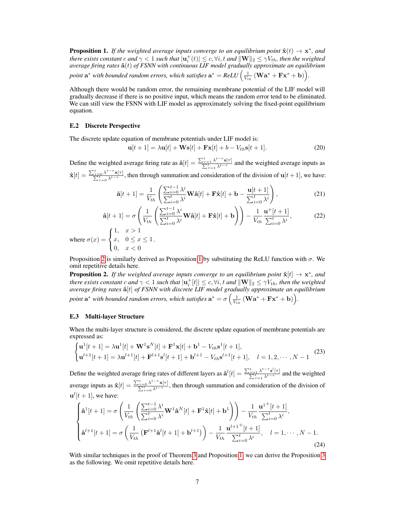<span id="page-6-0"></span>**Proposition 1.** If the weighted average inputs converge to an equilibrium point  $\hat{\mathbf{x}}(t) \to \mathbf{x}^*$ , and *there exists constant c and*  $\gamma < 1$  *such that*  $|\mathbf{u}_i^+(t)| \le c, \forall i, t$  *and*  $\|\mathbf{W}\|_2 \le \gamma V_{th}$ *, then the weighted average firing rates* ˆa(t) *of FSNN with continuous LIF model gradually approximate an equilibrium* point  $\mathbf{a}^*$  with bounded random errors, which satisfies  $\mathbf{a}^* = ReLU\Big(\frac{1}{V_{th}}\left(\mathbf{W}\mathbf{a}^* + \mathbf{F}\mathbf{x}^* + \mathbf{b}\right)\Big)$ .

Although there would be random error, the remaining membrane potential of the LIF model will gradually decrease if there is no positive input, which means the random error tend to be eliminated. We can still view the FSNN with LIF model as approximately solving the fixed-point equilibrium equation.

## E.2 Discrete Perspective

The discrete update equation of membrane potentials under LIF model is:

$$
\mathbf{u}[t+1] = \lambda \mathbf{u}[t] + \mathbf{W}\mathbf{s}[t] + \mathbf{F}\mathbf{x}[t] + b - V_{th}\mathbf{s}[t+1].
$$
 (20)

Define the weighted average firing rate as  $\hat{a}[t] = \frac{\sum_{\tau=1}^{t} \lambda^{t-\tau} s[\tau]}{\sum_{\tau=1}^{t} \lambda^{t-\tau}}$  and the weighted average inputs as  $\hat{\mathbf{x}}[t] = \frac{\sum_{\tau=0}^{t} \lambda^{t-\tau} \mathbf{x}[\tau]}{\sum_{\tau=0}^{t} \lambda^{t-\tau}}$ , then through summation and consideration of the division of  $\mathbf{u}[t+1]$ , we have:

$$
\hat{\mathbf{a}}[t+1] = \frac{1}{V_{th}} \left( \frac{\sum_{i=0}^{t-1} \lambda^i}{\sum_{i=0}^t \lambda^i} \mathbf{W} \hat{\mathbf{a}}[t] + \mathbf{F} \hat{\mathbf{x}}[t] + \mathbf{b} - \frac{\mathbf{u}[t+1]}{\sum_{i=0}^t \lambda^i} \right),\tag{21}
$$

$$
\hat{\mathbf{a}}[t+1] = \sigma \left( \frac{1}{V_{th}} \left( \frac{\sum_{i=0}^{t-1} \lambda^i}{\sum_{i=0}^t \lambda^i} \mathbf{W} \hat{\mathbf{a}}[t] + \mathbf{F} \hat{\mathbf{x}}[t] + \mathbf{b} \right) \right) - \frac{1}{V_{th}} \frac{\mathbf{u}^+[t+1]}{\sum_{i=0}^t \lambda^i},
$$
(22)

where  $\sigma(x) =$  $\int$  $\mathcal{L}$  $x, \quad 0 \leq x \leq 1$  $0, \quad x < 0$ .

Proposition [2](#page-6-1) is similarly derived as Proposition [1](#page-6-0) by substituting the ReLU function with  $\sigma$ . We omit repetitive details here.

<span id="page-6-1"></span>**Proposition 2.** If the weighted average inputs converge to an equilibrium point  $\hat{\mathbf{x}}[t] \rightarrow \mathbf{x}^*$ , and *there exists constant c and*  $\gamma < 1$  *such that*  $|\mathbf{u}_i^+[t]| \leq c, \forall i, t$  *and*  $\|\mathbf{W}\|_2 \leq \gamma V_{th}$ *, then the weighted average firing rates* ˆa[t] *of FSNN with discrete LIF model gradually approximate an equilibrium* point  $\mathbf{a}^*$  with bounded random errors, which satisfies  $\mathbf{a}^* = \sigma\left(\frac{1}{V_{th}}\left(\mathbf{W}\mathbf{a}^* + \mathbf{F}\mathbf{x}^* + \mathbf{b}\right)\right)$ .

#### E.3 Multi-layer Structure

When the multi-layer structure is considered, the discrete update equation of membrane potentials are expressed as:

$$
\begin{cases} \mathbf{u}^{1}[t+1] = \lambda \mathbf{u}^{1}[t] + \mathbf{W}^{1}\mathbf{s}^{N}[t] + \mathbf{F}^{1}\mathbf{x}[t] + \mathbf{b}^{1} - V_{th}\mathbf{s}^{1}[t+1], \\ \mathbf{u}^{l+1}[t+1] = \lambda \mathbf{u}^{l+1}[t] + \mathbf{F}^{l+1}\mathbf{s}^{l}[t+1] + \mathbf{b}^{l+1} - V_{th}\mathbf{s}^{l+1}[t+1], \quad l = 1, 2, \cdots, N-1 \end{cases}
$$
(23)

Define the weighted average firing rates of different layers as  $\hat{\mathbf{a}}^{l}[t] = \frac{\sum_{\tau=1}^{t} \lambda^{t-\tau} \mathbf{s}^{l}}{\sum_{\tau=1}^{t} \lambda^{t-\tau}}$ P  $\frac{\sum_{t=1}^{t} \lambda^{t-\tau} \mathbf{s}^{t}[\tau]}{\lambda^{t-\tau}}$  and the weighted average inputs as  $\hat{\mathbf{x}}[t] = \frac{\sum_{\tau=0}^{t} \lambda^{t-\tau} \mathbf{x}[\tau]}{\sum_{\tau=0}^{t} \lambda^{t-\tau}}$ , then through summation and consideration of the division of  $\mathbf{u}^{l}[t+1]$ , we have:

$$
\begin{cases}\n\hat{\mathbf{a}}^{1}[t+1] = \sigma \left( \frac{1}{V_{th}} \left( \frac{\sum_{i=0}^{t-1} \lambda^{i}}{\sum_{i=0}^{t} \lambda^{i}} \mathbf{W}^{1} \hat{\mathbf{a}}^{N}[t] + \mathbf{F}^{1} \hat{\mathbf{x}}[t] + \mathbf{b}^{1} \right) \right) - \frac{1}{V_{th}} \frac{\mathbf{u}^{1+}[t+1]}{\sum_{i=0}^{t} \lambda^{i}}, \\
\hat{\mathbf{a}}^{l+1}[t+1] = \sigma \left( \frac{1}{V_{th}} \left( \mathbf{F}^{l+1} \hat{\mathbf{a}}^{l}[t+1] + \mathbf{b}^{l+1} \right) \right) - \frac{1}{V_{th}} \frac{\mathbf{u}^{l+1+}[t+1]}{\sum_{i=0}^{t} \lambda^{i}}, \quad l = 1, \cdots, N-1.\n\end{cases}
$$
\n(24)

With similar techniques in the proof of Theorem [3](#page-7-0) and Proposition [1,](#page-6-0) we can derive the Proposition 3 as the following. We omit repetitive details here.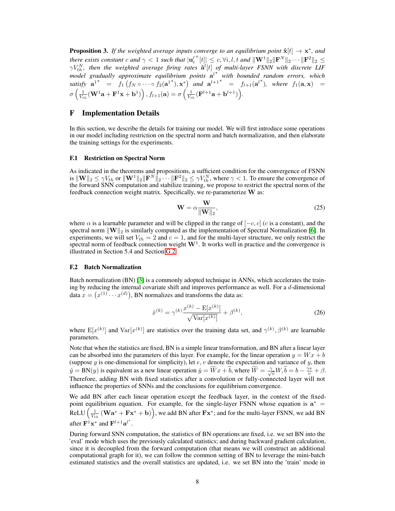<span id="page-7-0"></span>**Proposition 3.** If the weighted average inputs converge to an equilibrium point  $\hat{\mathbf{x}}[t] \rightarrow \mathbf{x}^*$ , and *there exists constant c and*  $\gamma < 1$  *such that*  $|\mathbf{u}_i^l|$  $\mathbf{F}[t] \leq c, \forall i, l, t \text{ and } ||\mathbf{W}^1||_2 ||\mathbf{F}^N||_2 \cdots ||\mathbf{F}^2||_2 \leq$  $\gamma V_{th}^N$ , then the weighted average firing rates  $\mathbf{\hat{a}}^l[t]$  of multi-layer FSNN with discrete LIF *model gradually approximate equilibrium points* a l ∗ *with bounded random errors, which satisfy*  $a^{1*} = f_1(f_N \circ \cdots \circ f_2(a^{1*}), x^*)$  *and*  $a^{l+1*} = f_{l+1}(a^{l*}),$  *where*  $f_1(a, x) =$  $\sigma\left(\frac{1}{V_{th}}(\mathbf{W}^1\mathbf{a}+\mathbf{F}^1\mathbf{x}+\mathbf{b}^1)\right), f_{l+1}(\mathbf{a}) = \sigma\left(\frac{1}{V_{th}}(\mathbf{F}^{l+1}\mathbf{a}+\mathbf{b}^{l+1})\right).$ 

# F Implementation Details

In this section, we describe the details for training our model. We will first introduce some operations in our model including restriction on the spectral norm and batch normalization, and then elaborate the training settings for the experiments.

#### F.1 Restriction on Spectral Norm

As indicated in the theorems and propositions, a sufficient condition for the convergence of FSNN is  $\|\mathbf{W}\|_2 \le \gamma V_{th}$  or  $\|\mathbf{W}^1\|_2 \|\mathbf{F}^N\|_2 \cdots \|\mathbf{F}^2\|_2 \le \gamma V_{th}^N$ , where  $\gamma < 1$ . To ensure the convergence of the forward SNN computation and stabilize training, we propose to restrict the spectral norm of the feedback connection weight matrix. Specifically, we re-parameterize W as:

$$
\mathbf{W} = \alpha \frac{\mathbf{W}}{\|\mathbf{W}\|_2},\tag{25}
$$

where  $\alpha$  is a learnable parameter and will be clipped in the range of  $[-c, c]$  (c is a constant), and the spectral norm  $\|\mathbf{W}\|_2$  is similarly computed as the implementation of Spectral Normalization [\[6\]](#page-12-0). In experiments, we will set  $V_{th} = 2$  and  $c = 1$ , and for the multi-layer structure, we only restrict the spectral norm of feedback connection weight  $W<sup>1</sup>$ . It works well in practice and the convergence is illustrated in Section 5.4 and Section [G.2.](#page-11-0)

### F.2 Batch Normalization

Batch normalization (BN) [\[3\]](#page-12-1) is a commonly adopted technique in ANNs, which accelerates the training by reducing the internal covariate shift and improves performance as well. For a  $d$ -dimensional data  $x = (x^{(1)} \cdots x^{(d)})$ , BN normalizes and transforms the data as:

$$
\hat{x}^{(k)} = \gamma^{(k)} \frac{x^{(k)} - \mathbf{E}[x^{(k)}]}{\sqrt{\text{Var}[x^{(k)}]}} + \beta^{(k)},\tag{26}
$$

where  $E[x^{(k)}]$  and  $Var[x^{(k)}]$  are statistics over the training data set, and  $\gamma^{(k)}$ ,  $\beta^{(k)}$  are learnable parameters.

Note that when the statistics are fixed, BN is a simple linear transformation, and BN after a linear layer can be absorbed into the parameters of this layer. For example, for the linear operation  $y = Wx + b$ (suppose  $y$  is one-dimensional for simplicity), let  $e, v$  denote the expectation and variance of  $y$ , then  $\hat{y} = BN(y)$  is equivalent as a new linear operation  $\hat{y} = \widetilde{W}x + \widetilde{b}$ , where  $\widetilde{W} = \frac{\gamma}{\sqrt{v}}W, \widetilde{b} = b - \frac{\gamma e}{v} + \beta$ . Therefore, adding BN with fixed statistics after a convolution or fully-connected layer will not influence the properties of SNNs and the conclusions for equilibrium convergence.

We add BN after each linear operation except the feedback layer, in the context of the fixedpoint equilibrium equation. For example, for the single-layer FSNN whose equation is  $a^* =$  $ReLU\left(\frac{1}{V_{th}}\left(\mathbf{W}\mathbf{a^*}+\mathbf{F}\mathbf{x^*}+\mathbf{b}\right)\right)$ , we add BN after  $\mathbf{F}\mathbf{x^*}$ ; and for the multi-layer FSNN, we add BN after  $\mathbf{F}^{\mathbf{1}} \mathbf{x}^*$  and  $\mathbf{F}^{l+1} \mathbf{a}^{l^*}$ .

During forward SNN computation, the statistics of BN operations are fixed, i.e. we set BN into the 'eval' mode which uses the previously calculated statistics; and during backward gradient calculation, since it is decoupled from the forward computation (that means we will construct an additional computational graph for it), we can follow the common setting of BN to leverage the mini-batch estimated statistics and the overall statistics are updated, i.e. we set BN into the 'train' mode in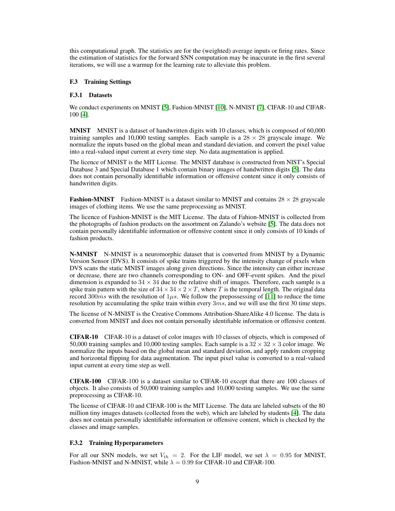this computational graph. The statistics are for the (weighted) average inputs or firing rates. Since the estimation of statistics for the forward SNN computation may be inaccurate in the first several iterations, we will use a warmup for the learning rate to alleviate this problem.

## F.3 Training Settings

## F.3.1 Datasets

We conduct experiments on MNIST [\[5\]](#page-12-2), Fashion-MNIST [\[10\]](#page-12-3), N-MNIST [\[7\]](#page-12-4), CIFAR-10 and CIFAR-100 [\[4\]](#page-12-5).

MNIST MNIST is a dataset of handwritten digits with 10 classes, which is composed of 60,000 training samples and 10,000 testing samples. Each sample is a  $28 \times 28$  grayscale image. We normalize the inputs based on the global mean and standard deviation, and convert the pixel value into a real-valued input current at every time step. No data augmentation is applied.

The licence of MNIST is the MIT License. The MNIST database is constructed from NIST's Special Database 3 and Special Database 1 which contain binary images of handwritten digits [\[5\]](#page-12-2). The data does not contain personally identifiable information or offensive content since it only consists of handwritten digits.

**Fashion-MNIST** Fashion-MNIST is a dataset similar to MNIST and contains  $28 \times 28$  grayscale images of clothing items. We use the same preprocessing as MNIST.

The licence of Fashion-MNIST is the MIT License. The data of Fahion-MNIST is collected from the photographs of fashion products on the assortment on Zalando's website [\[5\]](#page-12-2). The data does not contain personally identifiable information or offensive content since it only consists of 10 kinds of fashion products.

N-MNIST N-MNIST is a neuromorphic dataset that is converted from MNIST by a Dynamic Version Sensor (DVS). It consists of spike trains triggered by the intensity change of pixels when DVS scans the static MNIST images along given directions. Since the intensity can either increase or decrease, there are two channels corresponding to ON- and OFF-event spikes. And the pixel dimension is expanded to  $34 \times 34$  due to the relative shift of images. Therefore, each sample is a spike train pattern with the size of  $34 \times 34 \times 2 \times T$ , where T is the temporal length. The original data record 300ms with the resolution of  $1\mu s$ . We follow the prepossessing of [\[11\]](#page-12-6) to reduce the time resolution by accumulating the spike train within every  $3ms$ , and we will use the first 30 time steps.

The license of N-MNIST is the Creative Commons Attribution-ShareAlike 4.0 license. The data is converted from MNIST and does not contain personally identifiable information or offensive content.

CIFAR-10 CIFAR-10 is a dataset of color images with 10 classes of objects, which is composed of 50,000 training samples and 10,000 testing samples. Each sample is a  $32 \times 32 \times 3$  color image. We normalize the inputs based on the global mean and standard deviation, and apply random cropping and horizontal flipping for data augmentation. The input pixel value is converted to a real-valued input current at every time step as well.

CIFAR-100 CIFAR-100 is a dataset similar to CIFAR-10 except that there are 100 classes of objects. It also consists of 50,000 training samples and 10,000 testing samples. We use the same preprocessing as CIFAR-10.

The license of CIFAR-10 and CIFAR-100 is the MIT License. The data are labeled subsets of the 80 million tiny images datasets (collected from the web), which are labeled by students [\[4\]](#page-12-5). The data does not contain personally identifiable information or offensive content, which is checked by the classes and image samples.

## F.3.2 Training Hyperparameters

For all our SNN models, we set  $V_{th} = 2$ . For the LIF model, we set  $\lambda = 0.95$  for MNIST, Fashion-MNIST and N-MNIST, while  $\lambda = 0.99$  for CIFAR-10 and CIFAR-100.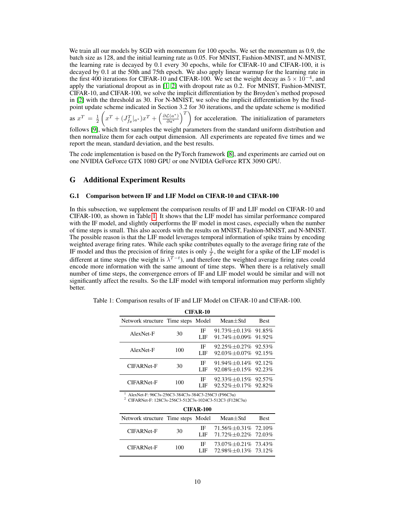We train all our models by SGD with momentum for 100 epochs. We set the momentum as 0.9, the batch size as 128, and the initial learning rate as 0.05. For MNIST, Fashion-MNIST, and N-MNIST, the learning rate is decayed by 0.1 every 30 epochs, while for CIFAR-10 and CIFAR-100, it is decayed by 0.1 at the 50th and 75th epoch. We also apply linear warmup for the learning rate in the first 400 iterations for CIFAR-10 and CIFAR-100. We set the weight decay as  $5 \times 10^{-4}$ , and apply the variational dropout as in [\[1,](#page-12-7) [2\]](#page-12-8) with dropout rate as 0.2. For MNIST, Fashion-MNIST, CIFAR-10, and CIFAR-100, we solve the implicit differentiation by the Broyden's method proposed in [\[2\]](#page-12-8) with the threshold as 30. For N-MNIST, we solve the implicit differentiation by the fixedpoint update scheme indicated in Section 3.2 for 30 iterations, and the update scheme is modified

as  $x^T = \frac{1}{2}$  $\left(x^T + (J_{f_\theta}^T|_{a^*})x^T + \left(\frac{\partial \mathcal{L}(a^*)}{\partial a^*}\right)^T\right)$  for acceleration. The initialization of parameters follows [\[9\]](#page-12-9), which first samples the weight parameters from the standard uniform distribution and

then normalize them for each output dimension. All experiments are repeated five times and we report the mean, standard deviation, and the best results.

The code implementation is based on the PyTorch framework [\[8\]](#page-12-10), and experiments are carried out on one NVIDIA GeForce GTX 1080 GPU or one NVIDIA GeForce RTX 3090 GPU.

# G Additional Experiment Results

## G.1 Comparison between IF and LIF Model on CIFAR-10 and CIFAR-100

In this subsection, we supplement the comparison results of IF and LIF model on CIFAR-10 and CIFAR-100, as shown in Table [1.](#page-9-0) It shows that the LIF model has similar performance compared with the IF model, and slightly outperforms the IF model in most cases, especially when the number of time steps is small. This also accords with the results on MNIST, Fashion-MNIST, and N-MNIST. The possible reason is that the LIF model leverages temporal information of spike trains by encoding weighted average firing rates. While each spike contributes equally to the average firing rate of the IF model and thus the precision of firing rates is only  $\frac{1}{T}$ , the weight for a spike of the LIF model is different at time steps (the weight is  $\lambda^{T-t}$ ), and therefore the weighted average firing rates could encode more information with the same amount of time steps. When there is a relatively small number of time steps, the convergence errors of IF and LIF model would be similar and will not significantly affect the results. So the LIF model with temporal information may perform slightly better.

| <b>CIFAR-10</b>                    |     |           |                                                            |             |  |  |
|------------------------------------|-----|-----------|------------------------------------------------------------|-------------|--|--|
| Network structure Time steps Model |     |           | $Mean + Std$                                               | <b>Best</b> |  |  |
| AlexNet-F                          | 30  | IF<br>LIF | $91.73\% + 0.13\%$ 91.85%<br>91.74% ±0.09% 91.92%          |             |  |  |
| AlexNet-F                          | 100 | IF<br>LIF | $92.25\% + 0.27\%$ $92.53\%$<br>$92.03\% + 0.07\%$ 92.15\% |             |  |  |
| CIFARNet-F                         | 30  | IF<br>LIF | $91.94\% + 0.14\%$ 92.12\%<br>$92.08\% \pm 0.15\%$ 92.23%  |             |  |  |
| <b>CIFARNet-F</b>                  | 100 | IF<br>LIE | $92.33\% + 0.15\%$ $92.57\%$<br>$92.52\% + 0.17\%$ 92.82\% |             |  |  |

<span id="page-9-0"></span>Table 1: Comparison results of IF and LIF Model on CIFAR-10 and CIFAR-100.

<sup>1</sup> AlexNet-F: 96C3s-256C3-384C3s-384C3-256C3 (F96C3u)

<sup>2</sup> CIFARNet-F: 128C3s-256C3-512C3s-1024C3-512C3 (F128C3u)

| <b>CIFAR-100</b>                   |     |              |                                                                 |             |  |
|------------------------------------|-----|--------------|-----------------------------------------------------------------|-------------|--|
| Network structure Time steps Model |     |              | Mean $\pm$ Std                                                  | <b>Best</b> |  |
| CIFARNet-F                         | 30  |              | IF $71.56\% \pm 0.31\%$ 72.10%<br>LIF $71.72\% + 0.22\%$ 72.03% |             |  |
| CIFARNet-F                         | 100 | IF -<br>LIE. | 73.07% $\pm$ 0.21% 73.43%<br>72.98%+0.13% 73.12%                |             |  |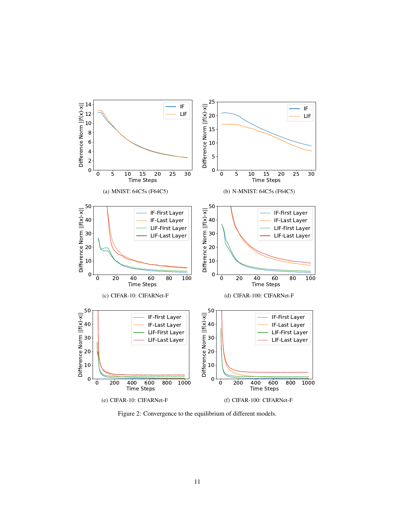

<span id="page-10-0"></span>Figure 2: Convergence to the equilibrium of different models.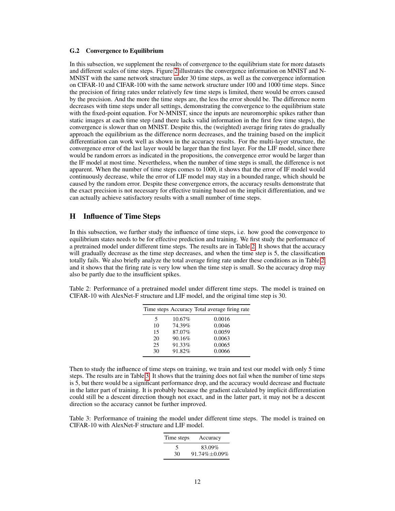## <span id="page-11-0"></span>G.2 Convergence to Equilibrium

In this subsection, we supplement the results of convergence to the equilibrium state for more datasets and different scales of time steps. Figure [2](#page-10-0) illustrates the convergence information on MNIST and N-MNIST with the same network structure under 30 time steps, as well as the convergence information on CIFAR-10 and CIFAR-100 with the same network structure under 100 and 1000 time steps. Since the precision of firing rates under relatively few time steps is limited, there would be errors caused by the precision. And the more the time steps are, the less the error should be. The difference norm decreases with time steps under all settings, demonstrating the convergence to the equilibrium state with the fixed-point equation. For N-MNIST, since the inputs are neuromorphic spikes rather than static images at each time step (and there lacks valid information in the first few time steps), the convergence is slower than on MNIST. Despite this, the (weighted) average firing rates do gradually approach the equilibrium as the difference norm decreases, and the training based on the implicit differentiation can work well as shown in the accuracy results. For the multi-layer structure, the convergence error of the last layer would be larger than the first layer. For the LIF model, since there would be random errors as indicated in the propositions, the convergence error would be larger than the IF model at most time. Nevertheless, when the number of time steps is small, the difference is not apparent. When the number of time steps comes to 1000, it shows that the error of IF model would continuously decrease, while the error of LIF model may stay in a bounded range, which should be caused by the random error. Despite these convergence errors, the accuracy results demonstrate that the exact precision is not necessary for effective training based on the implicit differentiation, and we can actually achieve satisfactory results with a small number of time steps.

# H Influence of Time Steps

In this subsection, we further study the influence of time steps, i.e. how good the convergence to equilibrium states needs to be for effective prediction and training. We first study the performance of a pretrained model under different time steps. The results are in Table [2.](#page-11-1) It shows that the accuracy will gradually decrease as the time step decreases, and when the time step is 5, the classification totally fails. We also briefly analyze the total average firing rate under these conditions as in Table [2,](#page-11-1) and it shows that the firing rate is very low when the time step is small. So the accuracy drop may also be partly due to the insufficient spikes.

<span id="page-11-1"></span>Table 2: Performance of a pretrained model under different time steps. The model is trained on CIFAR-10 with AlexNet-F structure and LIF model, and the original time step is 30.

|    |        | Time steps Accuracy Total average firing rate |
|----|--------|-----------------------------------------------|
| 5  | 10.67% | 0.0016                                        |
| 10 | 74.39% | 0.0046                                        |
| 15 | 87.07% | 0.0059                                        |
| 20 | 90.16% | 0.0063                                        |
| 25 | 91.33% | 0.0065                                        |
| 30 | 91.82% | 0.0066                                        |

Then to study the influence of time steps on training, we train and test our model with only 5 time steps. The results are in Table [3.](#page-11-2) It shows that the training does not fail when the number of time steps is 5, but there would be a significant performance drop, and the accuracy would decrease and fluctuate in the latter part of training. It is probably because the gradient calculated by implicit differentiation could still be a descent direction though not exact, and in the latter part, it may not be a descent direction so the accuracy cannot be further improved.

<span id="page-11-2"></span>Table 3: Performance of training the model under different time steps. The model is trained on CIFAR-10 with AlexNet-F structure and LIF model.

| Time steps | Accuracy      |
|------------|---------------|
| 5          | 83.09%        |
| 30         | 91.74% ±0.09% |